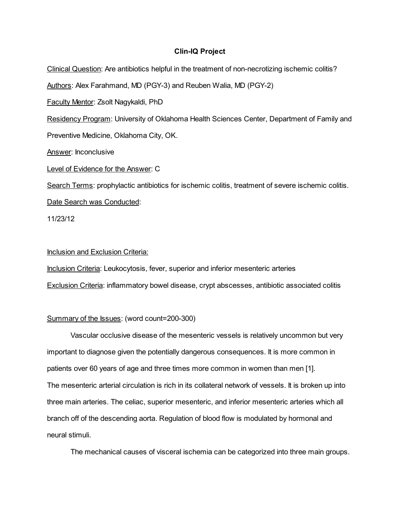# Clin-IQ Project

Clinical Question: Are antibiotics helpful in the treatment of non-necrotizing ischemic colitis? Authors: Alex Farahmand, MD (PGY-3) and Reuben Walia, MD (PGY-2) Faculty Mentor: Zsolt Nagykaldi, PhD Residency Program: University of Oklahoma Health Sciences Center, Department of Family and Preventive Medicine, Oklahoma City, OK. Answer: Inconclusive Level of Evidence for the Answer: C Search Terms: prophylactic antibiotics for ischemic colitis, treatment of severe ischemic colitis. Date Search was Conducted:

11/23/12

# Inclusion and Exclusion Criteria:

Inclusion Criteria: Leukocytosis, fever, superior and inferior mesenteric arteries Exclusion Criteria: inflammatory bowel disease, crypt abscesses, antibiotic associated colitis

# Summary of the Issues: (word count=200-300)

Vascular occlusive disease of the mesenteric vessels is relatively uncommon but very important to diagnose given the potentially dangerous consequences. It is more common in patients over 60 years of age and three times more common in women than men [1]. The mesenteric arterial circulation is rich in its collateral network of vessels. It is broken up into three main arteries. The celiac, superior mesenteric, and inferior mesenteric arteries which all branch off of the descending aorta. Regulation of blood flow is modulated by hormonal and neural stimuli.

The mechanical causes of visceral ischemia can be categorized into three main groups.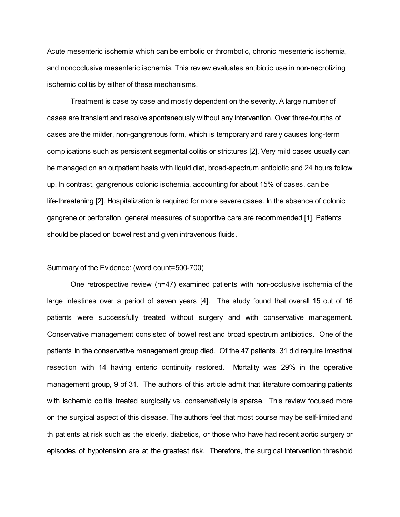Acute mesenteric ischemia which can be embolic or thrombotic, chronic mesenteric ischemia, and nonocclusive mesenteric ischemia. This review evaluates antibiotic use in non-necrotizing ischemic colitis by either of these mechanisms.

Treatment is case by case and mostly dependent on the severity. A large number of cases are transient and resolve spontaneously without any intervention. Over three-fourths of cases are the milder, non-gangrenous form, which is temporary and rarely causes long-term complications such as persistent segmental colitis or strictures [2]. Very mild cases usually can be managed on an outpatient basis with liquid diet, broad-spectrum antibiotic and 24 hours follow up. In contrast, gangrenous colonic ischemia, accounting for about 15% of cases, can be life-threatening [2]. Hospitalization is required for more severe cases. In the absence of colonic gangrene or perforation, general measures of supportive care are recommended [1]. Patients should be placed on bowel rest and given intravenous fluids.

#### Summary of the Evidence: (word count=500-700)

One retrospective review (n=47) examined patients with non-occlusive ischemia of the large intestines over a period of seven years [4]. The study found that overall 15 out of 16 patients were successfully treated without surgery and with conservative management. Conservative management consisted of bowel rest and broad spectrum antibiotics. One of the patients in the conservative management group died. Of the 47 patients, 31 did require intestinal resection with 14 having enteric continuity restored. Mortality was 29% in the operative management group, 9 of 31. The authors of this article admit that literature comparing patients with ischemic colitis treated surgically vs. conservatively is sparse. This review focused more on the surgical aspect of this disease. The authors feel that most course may be self-limited and th patients at risk such as the elderly, diabetics, or those who have had recent aortic surgery or episodes of hypotension are at the greatest risk. Therefore, the surgical intervention threshold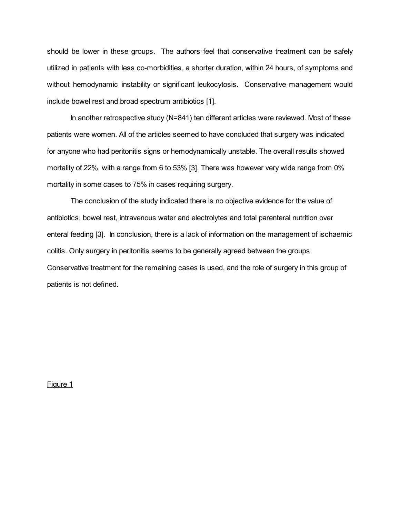should be lower in these groups. The authors feel that conservative treatment can be safely utilized in patients with less co-morbidities, a shorter duration, within 24 hours, of symptoms and without hemodynamic instability or significant leukocytosis. Conservative management would include bowel rest and broad spectrum antibiotics [1].

In another retrospective study (N=841) ten different articles were reviewed. Most of these patients were women. All of the articles seemed to have concluded that surgery was indicated for anyone who had peritonitis signs or hemodynamically unstable. The overall results showed mortality of 22%, with a range from 6 to 53% [3]. There was however very wide range from 0% mortality in some cases to 75% in cases requiring surgery.

The conclusion of the study indicated there is no objective evidence for the value of antibiotics, bowel rest, intravenous water and electrolytes and total parenteral nutrition over enteral feeding [3]. In conclusion, there is a lack of information on the management of ischaemic colitis. Only surgery in peritonitis seems to be generally agreed between the groups. Conservative treatment for the remaining cases is used, and the role of surgery in this group of patients is not defined.

Figure 1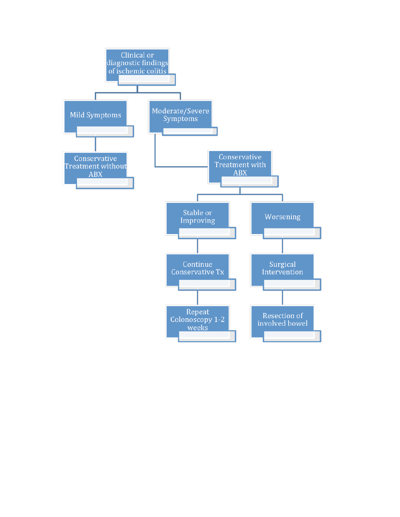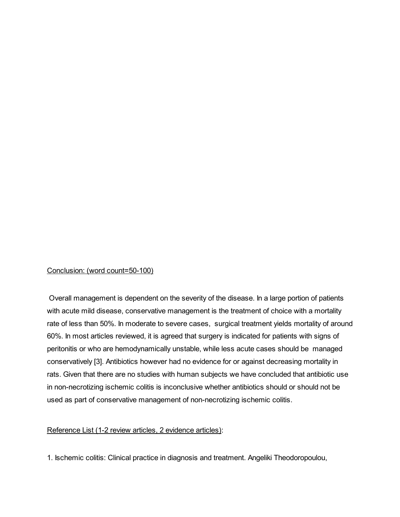### Conclusion: (word count=50-100)

Overall management is dependent on the severity of the disease. In a large portion of patients with acute mild disease, conservative management is the treatment of choice with a mortality rate of less than 50%. In moderate to severe cases, surgical treatment yields mortality of around 60%. In most articles reviewed, it is agreed that surgery is indicated for patients with signs of peritonitis or who are hemodynamically unstable, while less acute cases should be managed conservatively [3]. Antibiotics however had no evidence for or against decreasing mortality in rats. Given that there are no studies with human subjects we have concluded that antibiotic use in non-necrotizing ischemic colitis is inconclusive whether antibiotics should or should not be used as part of conservative management of non-necrotizing ischemic colitis.

### Reference List (1-2 review articles, 2 evidence articles):

1. Ischemic colitis: Clinical practice in diagnosis and treatment. Angeliki Theodoropoulou,